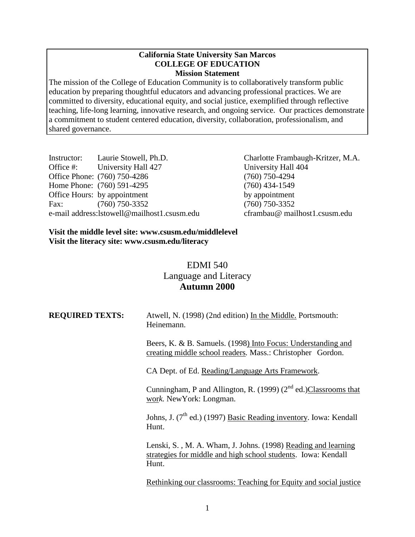### **California State University San Marcos COLLEGE OF EDUCATION Mission Statement**

The mission of the College of Education Community is to collaboratively transform public education by preparing thoughtful educators and advancing professional practices. We are committed to diversity, educational equity, and social justice, exemplified through reflective teaching, life-long learning, innovative research, and ongoing service. Our practices demonstrate a commitment to student centered education, diversity, collaboration, professionalism, and shared governance.

| Instructor:                                 | Laurie Stowell, Ph.D.        |  |  |  |
|---------------------------------------------|------------------------------|--|--|--|
| Office #:                                   | University Hall 427          |  |  |  |
|                                             | Office Phone: (760) 750-4286 |  |  |  |
|                                             | Home Phone: (760) 591-4295   |  |  |  |
|                                             | Office Hours: by appointment |  |  |  |
| Fax:                                        | $(760)$ 750-3352             |  |  |  |
| e-mail address:lstowell@mailhost1.csusm.edu |                              |  |  |  |

Charlotte Frambaugh-Kritzer, M.A. University Hall 404 Office Phone: (760) 750-4286 (760) 750-4294 (760) 434-1549 by appointment Fax: (760) 750-3352 (760) 750-3352 eframbau@ mailhost1.csusm.edu

### **Visit the middle level site: www.csusm.edu/middlelevel Visit the literacy site: www.csusm.edu/literacy**

# EDMI 540 Language and Literacy **Autumn 2000**

| <b>REQUIRED TEXTS:</b> | Atwell, N. (1998) (2nd edition) In the Middle. Portsmouth:<br>Heinemann.                                                                |  |
|------------------------|-----------------------------------------------------------------------------------------------------------------------------------------|--|
|                        | Beers, K. & B. Samuels. (1998) Into Focus: Understanding and<br>creating middle school readers. Mass.: Christopher Gordon.              |  |
|                        | CA Dept. of Ed. Reading/Language Arts Framework.                                                                                        |  |
|                        | Cunningham, P and Allington, R. (1999) $(2nd$ ed.) $\overline{\text{Class}}$ rooms that<br>work. New York: Longman.                     |  |
|                        | Johns, J. $(7th$ ed.) (1997) Basic Reading inventory. Iowa: Kendall<br>Hunt.                                                            |  |
|                        | Lenski, S., M. A. Wham, J. Johns. (1998) Reading and learning<br>strategies for middle and high school students. Iowa: Kendall<br>Hunt. |  |
|                        | Rethinking our classrooms: Teaching for Equity and social justice                                                                       |  |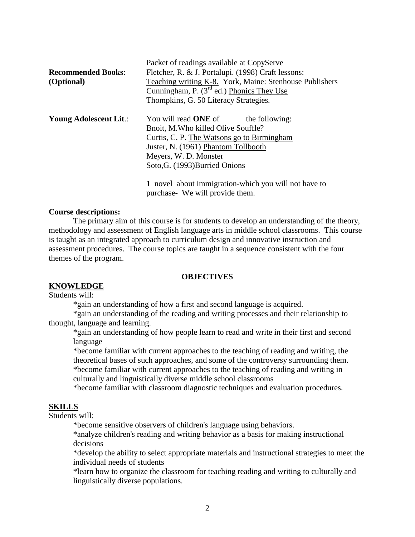|                           | Packet of readings available at CopyServe                                                                      |  |  |  |  |
|---------------------------|----------------------------------------------------------------------------------------------------------------|--|--|--|--|
| <b>Recommended Books:</b> | Fletcher, R. & J. Portalupi. (1998) Craft lessons:                                                             |  |  |  |  |
| (Optional)                | Teaching writing K-8. York, Maine: Stenhouse Publishers<br>Cunningham, $P \cdot (3^{rd}$ ed.) Phonics They Use |  |  |  |  |
|                           |                                                                                                                |  |  |  |  |
|                           | Thompkins, G. 50 Literacy Strategies.                                                                          |  |  |  |  |
| Young Adolescent Lit.:    | You will read ONE of<br>the following:                                                                         |  |  |  |  |
|                           | Bnoit, M. Who killed Olive Souffle?                                                                            |  |  |  |  |
|                           | Curtis, C. P. The Watsons go to Birmingham                                                                     |  |  |  |  |
|                           | Juster, N. (1961) Phantom Tollbooth<br>Meyers, W. D. Monster                                                   |  |  |  |  |
|                           |                                                                                                                |  |  |  |  |
|                           | Soto, G. (1993) Burried Onions                                                                                 |  |  |  |  |
|                           | 1 novel about immigration-which you will not have to                                                           |  |  |  |  |

1 novel about immigration-which you will not have to purchase- We will provide them.

#### **Course descriptions:**

The primary aim of this course is for students to develop an understanding of the theory, methodology and assessment of English language arts in middle school classrooms. This course is taught as an integrated approach to curriculum design and innovative instruction and assessment procedures. The course topics are taught in a sequence consistent with the four themes of the program.

#### **OBJECTIVES**

#### **KNOWLEDGE**

Students will:

\*gain an understanding of how a first and second language is acquired.

\*gain an understanding of the reading and writing processes and their relationship to thought, language and learning.

\*gain an understanding of how people learn to read and write in their first and second language

\*become familiar with current approaches to the teaching of reading and writing, the theoretical bases of such approaches, and some of the controversy surrounding them. \*become familiar with current approaches to the teaching of reading and writing in culturally and linguistically diverse middle school classrooms

\*become familiar with classroom diagnostic techniques and evaluation procedures.

### **SKILLS**

Students will:

\*become sensitive observers of children's language using behaviors.

\*analyze children's reading and writing behavior as a basis for making instructional decisions

\*develop the ability to select appropriate materials and instructional strategies to meet the individual needs of students

\*learn how to organize the classroom for teaching reading and writing to culturally and linguistically diverse populations.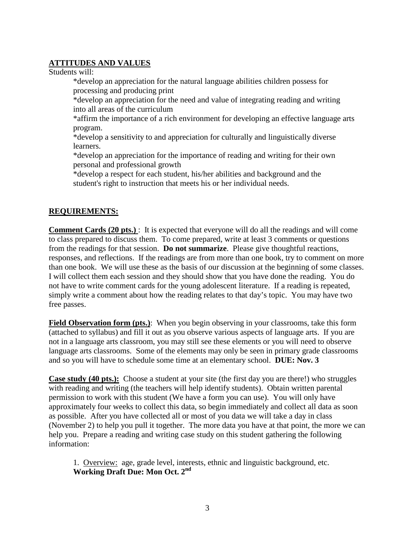## **ATTITUDES AND VALUES**

Students will:

\*develop an appreciation for the natural language abilities children possess for processing and producing print

\*develop an appreciation for the need and value of integrating reading and writing into all areas of the curriculum

\*affirm the importance of a rich environment for developing an effective language arts program.

\*develop a sensitivity to and appreciation for culturally and linguistically diverse learners.

\*develop an appreciation for the importance of reading and writing for their own personal and professional growth

\*develop a respect for each student, his/her abilities and background and the student's right to instruction that meets his or her individual needs.

## **REQUIREMENTS:**

**Comment Cards (20 pts.)** : It is expected that everyone will do all the readings and will come to class prepared to discuss them. To come prepared, write at least 3 comments or questions from the readings for that session. **Do not summarize**. Please give thoughtful reactions, responses, and reflections. If the readings are from more than one book, try to comment on more than one book. We will use these as the basis of our discussion at the beginning of some classes. I will collect them each session and they should show that you have done the reading. You do not have to write comment cards for the young adolescent literature. If a reading is repeated, simply write a comment about how the reading relates to that day's topic. You may have two free passes.

**Field Observation form (pts.)**: When you begin observing in your classrooms, take this form (attached to syllabus) and fill it out as you observe various aspects of language arts. If you are not in a language arts classroom, you may still see these elements or you will need to observe language arts classrooms. Some of the elements may only be seen in primary grade classrooms and so you will have to schedule some time at an elementary school. **DUE: Nov. 3**

**Case study (40 pts.):** Choose a student at your site (the first day you are there!) who struggles with reading and writing (the teachers will help identify students). Obtain written parental permission to work with this student (We have a form you can use). You will only have approximately four weeks to collect this data, so begin immediately and collect all data as soon as possible. After you have collected all or most of you data we will take a day in class (November 2) to help you pull it together. The more data you have at that point, the more we can help you. Prepare a reading and writing case study on this student gathering the following information:

1. Overview: age, grade level, interests, ethnic and linguistic background, etc. **Working Draft Due: Mon Oct. 2nd**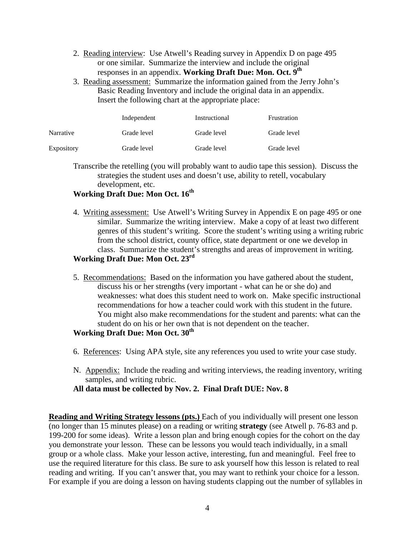- 2. Reading interview: Use Atwell's Reading survey in Appendix D on page 495 or one similar. Summarize the interview and include the original responses in an appendix. **Working Draft Due: Mon. Oct. 9th**
- 3. Reading assessment: Summarize the information gained from the Jerry John's Basic Reading Inventory and include the original data in an appendix. Insert the following chart at the appropriate place:

|                   | Independent | Instructional | Frustration |
|-------------------|-------------|---------------|-------------|
| Narrative         | Grade level | Grade level   | Grade level |
| <b>Expository</b> | Grade level | Grade level   | Grade level |

Transcribe the retelling (you will probably want to audio tape this session). Discuss the strategies the student uses and doesn't use, ability to retell, vocabulary development, etc.

# **Working Draft Due: Mon Oct. 16th**

4. Writing assessment: Use Atwell's Writing Survey in Appendix E on page 495 or one similar. Summarize the writing interview. Make a copy of at least two different genres of this student's writing. Score the student's writing using a writing rubric from the school district, county office, state department or one we develop in class. Summarize the student's strengths and areas of improvement in writing.

# **Working Draft Due: Mon Oct. 23rd**

5. Recommendations: Based on the information you have gathered about the student, discuss his or her strengths (very important - what can he or she do) and weaknesses: what does this student need to work on. Make specific instructional recommendations for how a teacher could work with this student in the future. You might also make recommendations for the student and parents: what can the student do on his or her own that is not dependent on the teacher.

## **Working Draft Due: Mon Oct. 30th**

- 6. References: Using APA style, site any references you used to write your case study.
- N. Appendix: Include the reading and writing interviews, the reading inventory, writing samples, and writing rubric.

## **All data must be collected by Nov. 2. Final Draft DUE: Nov. 8**

**Reading and Writing Strategy lessons (pts.)** Each of you individually will present one lesson (no longer than 15 minutes please) on a reading or writing **strategy** (see Atwell p. 76-83 and p. 199-200 for some ideas). Write a lesson plan and bring enough copies for the cohort on the day you demonstrate your lesson. These can be lessons you would teach individually, in a small group or a whole class. Make your lesson active, interesting, fun and meaningful. Feel free to use the required literature for this class. Be sure to ask yourself how this lesson is related to real reading and writing. If you can't answer that, you may want to rethink your choice for a lesson. For example if you are doing a lesson on having students clapping out the number of syllables in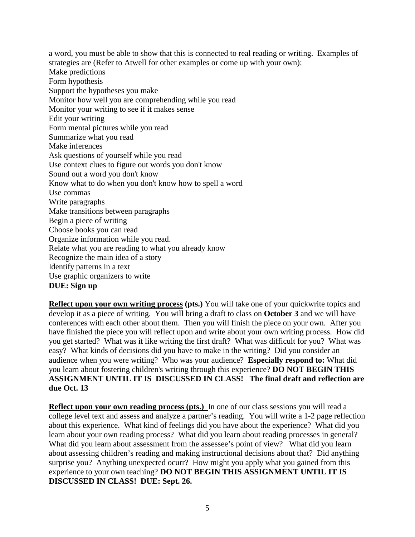a word, you must be able to show that this is connected to real reading or writing. Examples of strategies are (Refer to Atwell for other examples or come up with your own): Make predictions Form hypothesis Support the hypotheses you make Monitor how well you are comprehending while you read Monitor your writing to see if it makes sense Edit your writing Form mental pictures while you read Summarize what you read Make inferences Ask questions of yourself while you read Use context clues to figure out words you don't know Sound out a word you don't know Know what to do when you don't know how to spell a word Use commas Write paragraphs Make transitions between paragraphs Begin a piece of writing Choose books you can read Organize information while you read. Relate what you are reading to what you already know Recognize the main idea of a story Identify patterns in a text Use graphic organizers to write **DUE: Sign up**

**Reflect upon your own writing process (pts.)** You will take one of your quickwrite topics and develop it as a piece of writing. You will bring a draft to class on **October 3** and we will have conferences with each other about them. Then you will finish the piece on your own. After you have finished the piece you will reflect upon and write about your own writing process. How did you get started? What was it like writing the first draft? What was difficult for you? What was easy? What kinds of decisions did you have to make in the writing? Did you consider an audience when you were writing? Who was your audience? **Especially respond to:** What did you learn about fostering children's writing through this experience? **DO NOT BEGIN THIS ASSIGNMENT UNTIL IT IS DISCUSSED IN CLASS! The final draft and reflection are due Oct. 13**

**Reflect upon your own reading process (pts.)** In one of our class sessions you will read a college level text and assess and analyze a partner's reading. You will write a 1-2 page reflection about this experience. What kind of feelings did you have about the experience? What did you learn about your own reading process? What did you learn about reading processes in general? What did you learn about assessment from the assessee's point of view? What did you learn about assessing children's reading and making instructional decisions about that? Did anything surprise you? Anything unexpected ocurr? How might you apply what you gained from this experience to your own teaching? **DO NOT BEGIN THIS ASSIGNMENT UNTIL IT IS DISCUSSED IN CLASS! DUE: Sept. 26.**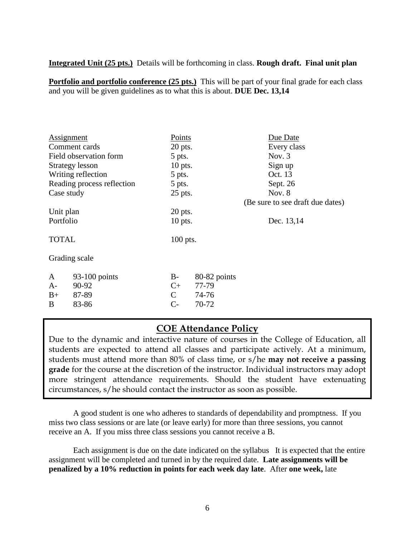**Integrated Unit (25 pts.)** Details will be forthcoming in class. **Rough draft. Final unit plan** 

**Portfolio and portfolio conference (25 pts.)** This will be part of your final grade for each class and you will be given guidelines as to what this is about. **DUE Dec. 13,14**

| Assignment    |                                      | Points        |              | Due Date                         |
|---------------|--------------------------------------|---------------|--------------|----------------------------------|
|               | Comment cards                        | $20$ pts.     |              | Every class                      |
|               | Field observation form               | 5 pts.        |              | Nov. $3$                         |
|               | <b>Strategy lesson</b>               | $10$ pts.     |              | Sign up                          |
|               | Writing reflection                   | 5 pts.        |              | Oct. 13                          |
|               | Reading process reflection<br>5 pts. |               |              | Sept. 26                         |
| Case study    |                                      | 25 pts.       |              | Nov. $8$                         |
|               |                                      |               |              | (Be sure to see draft due dates) |
| Unit plan     |                                      | $20$ pts.     |              |                                  |
| Portfolio     |                                      | $10$ pts.     |              | Dec. 13,14                       |
| <b>TOTAL</b>  |                                      | $100$ pts.    |              |                                  |
| Grading scale |                                      |               |              |                                  |
| A             | $93-100$ points                      | $B-$          | 80-82 points |                                  |
| $A-$          | 90-92                                | $C_{+}$       | 77-79        |                                  |
| $B+$          | 87-89                                | $\mathcal{C}$ | 74-76        |                                  |

# **COE Attendance Policy**

B 83-86 C- 70-72

Due to the dynamic and interactive nature of courses in the College of Education, all students are expected to attend all classes and participate actively. At a minimum, students must attend more than 80% of class time, or s/he **may not receive a passing grade** for the course at the discretion of the instructor. Individual instructors may adopt more stringent attendance requirements. Should the student have extenuating circumstances, s/he should contact the instructor as soon as possible.

A good student is one who adheres to standards of dependability and promptness. If you miss two class sessions or are late (or leave early) for more than three sessions, you cannot receive an A. If you miss three class sessions you cannot receive a B.

Each assignment is due on the date indicated on the syllabus It is expected that the entire assignment will be completed and turned in by the required date. **Late assignments will be penalized by a 10% reduction in points for each week day late**. After **one week,** late